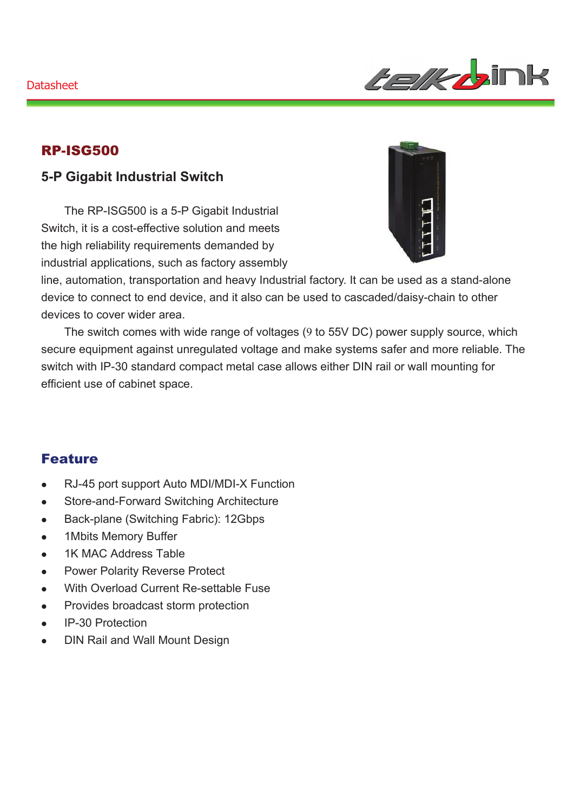

### RP-ISG500

### **5-P Gigabit Industrial Switch**

The RP-ISG500 is a 5-P Gigabit Industrial Switch, it is a cost-effective solution and meets the high reliability requirements demanded by industrial applications, such as factory assembly



line, automation, transportation and heavy Industrial factory. It can be used as a stand-alone device to connect to end device, and it also can be used to cascaded/daisy-chain to other devices to cover wider area.

The switch comes with wide range of voltages (9 to 55V DC) power supply source, which secure equipment against unregulated voltage and make systems safer and more reliable. The switch with IP-30 standard compact metal case allows either DIN rail or wall mounting for efficient use of cabinet space.

#### Feature

- RJ-45 port support Auto MDI/MDI-X Function
- Store-and-Forward Switching Architecture
- Back-plane (Switching Fabric): 12Gbps
- 1Mbits Memory Buffer
- 1K MAC Address Table
- Power Polarity Reverse Protect
- With Overload Current Re-settable Fuse
- Provides broadcast storm protection
- IP-30 Protection
- DIN Rail and Wall Mount Design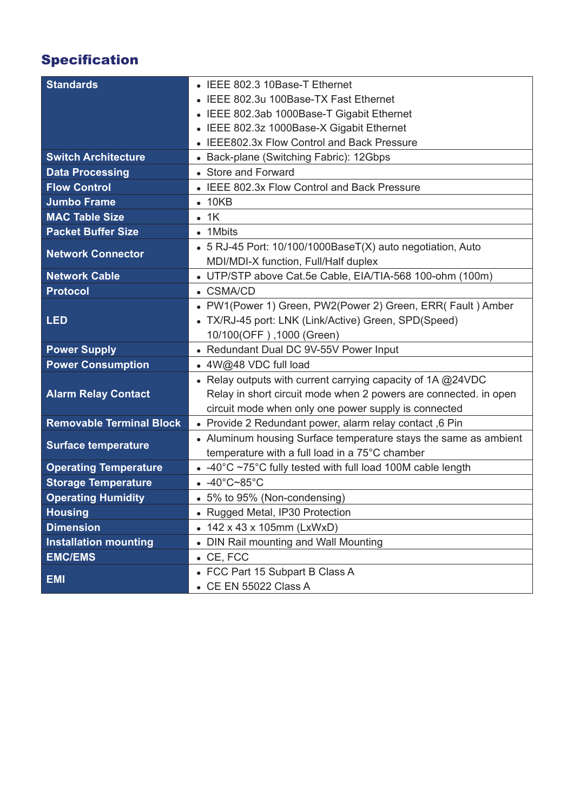# Specification

| <b>Standards</b>                | • IEEE 802.3 10Base-T Ethernet                                   |
|---------------------------------|------------------------------------------------------------------|
|                                 | IEEE 802.3u 100Base-TX Fast Ethernet                             |
|                                 | • IEEE 802.3ab 1000Base-T Gigabit Ethernet                       |
|                                 | IEEE 802.3z 1000Base-X Gigabit Ethernet                          |
|                                 | • IEEE802.3x Flow Control and Back Pressure                      |
| <b>Switch Architecture</b>      | • Back-plane (Switching Fabric): 12Gbps                          |
| <b>Data Processing</b>          | • Store and Forward                                              |
| <b>Flow Control</b>             | • IEEE 802.3x Flow Control and Back Pressure                     |
| <b>Jumbo Frame</b>              | $\bullet$ 10KB                                                   |
| <b>MAC Table Size</b>           | $\bullet$ 1K                                                     |
| <b>Packet Buffer Size</b>       | • 1Mbits                                                         |
| <b>Network Connector</b>        | • 5 RJ-45 Port: 10/100/1000BaseT(X) auto negotiation, Auto       |
|                                 | MDI/MDI-X function, Full/Half duplex                             |
| <b>Network Cable</b>            | • UTP/STP above Cat.5e Cable, EIA/TIA-568 100-ohm (100m)         |
| <b>Protocol</b>                 | • CSMA/CD                                                        |
|                                 | • PW1(Power 1) Green, PW2(Power 2) Green, ERR( Fault) Amber      |
| <b>LED</b>                      | • TX/RJ-45 port: LNK (Link/Active) Green, SPD(Speed)             |
|                                 | 10/100(OFF), 1000 (Green)                                        |
| <b>Power Supply</b>             | • Redundant Dual DC 9V-55V Power Input                           |
| <b>Power Consumption</b>        | • 4W@48 VDC full load                                            |
|                                 | • Relay outputs with current carrying capacity of $1A @ 24VDC$   |
| <b>Alarm Relay Contact</b>      | Relay in short circuit mode when 2 powers are connected. in open |
|                                 | circuit mode when only one power supply is connected             |
| <b>Removable Terminal Block</b> | • Provide 2 Redundant power, alarm relay contact, 6 Pin          |
| <b>Surface temperature</b>      | • Aluminum housing Surface temperature stays the same as ambient |
|                                 | temperature with a full load in a 75°C chamber                   |
| <b>Operating Temperature</b>    | • -40°C ~75°C fully tested with full load 100M cable length      |
| <b>Storage Temperature</b>      | $-40^{\circ}$ C~85 $^{\circ}$ C                                  |
| <b>Operating Humidity</b>       | • 5% to 95% (Non-condensing)                                     |
| <b>Housing</b>                  | • Rugged Metal, IP30 Protection                                  |
| <b>Dimension</b>                | • 142 x 43 x 105mm (LxWxD)                                       |
| <b>Installation mounting</b>    | • DIN Rail mounting and Wall Mounting                            |
| <b>EMC/EMS</b>                  | $\bullet$ CE, FCC                                                |
| <b>EMI</b>                      | • FCC Part 15 Subpart B Class A                                  |
|                                 | • CE EN 55022 Class A                                            |